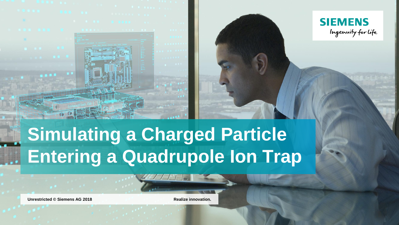



# **Simulating a Charged Particle Entering a Quadrupole Ion Trap**

**Unrestricted © Siemens AG 2018 Realize innovation.**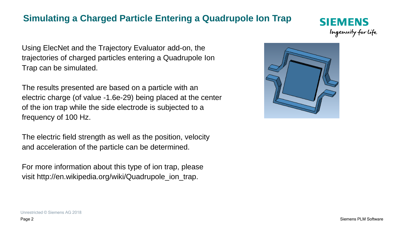## **Simulating a Charged Particle Entering a Quadrupole Ion Trap**

Using ElecNet and the Trajectory Evaluator add-on, the trajectories of charged particles entering a Quadrupole Ion Trap can be simulated.

The results presented are based on a particle with an electric charge (of value -1.6e-29) being placed at the center of the ion trap while the side electrode is subjected to a frequency of 100 Hz.

The electric field strength as well as the position, velocity and acceleration of the particle can be determined.

For more information about this type of ion trap, please visit http://en.wikipedia.org/wiki/Quadrupole\_ion\_trap.



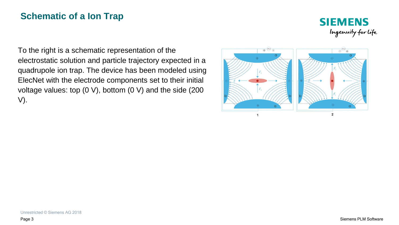## **Schematic of a Ion Trap**



To the right is a schematic representation of the electrostatic solution and particle trajectory expected in a quadrupole ion trap. The device has been modeled using ElecNet with the electrode components set to their initial voltage values: top (0 V), bottom (0 V) and the side (200 V).

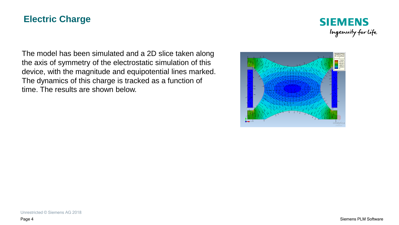### **Electric Charge**



The model has been simulated and a 2D slice taken along the axis of symmetry of the electrostatic simulation of this device, with the magnitude and equipotential lines marked. The dynamics of this charge is tracked as a function of time. The results are shown below.

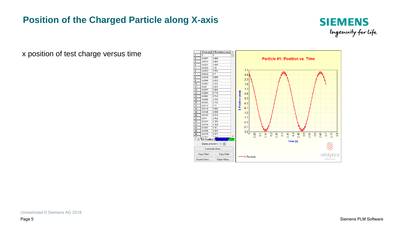# **Position of the Charged Particle along X-axis**



x position of test charge versus time

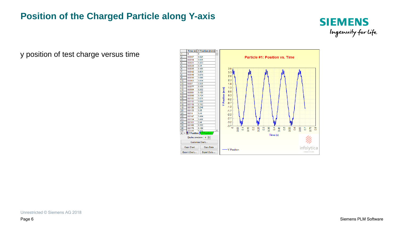### **Position of the Charged Particle along Y-axis**



y position of test charge versus time

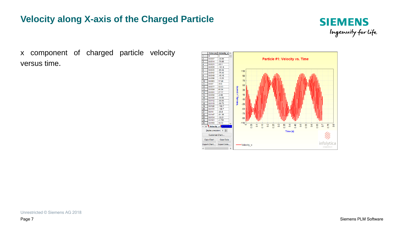### **Velocity along X-axis of the Charged Particle**



x component of charged particle velocity versus time.